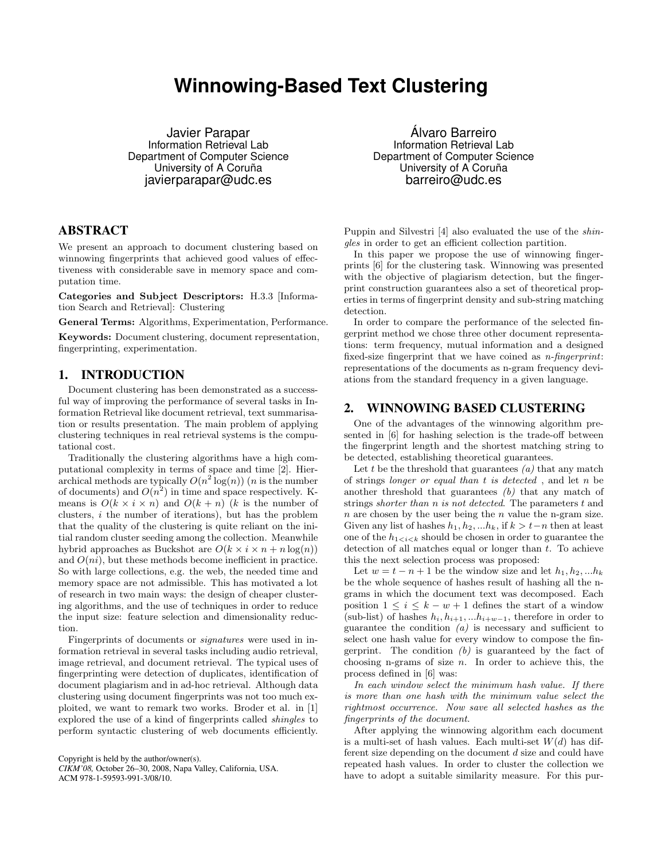# **Winnowing-Based Text Clustering**

Javier Parapar Information Retrieval Lab Department of Computer Science University of A Coruña javierparapar@udc.es

Álvaro Barreiro Information Retrieval Lab Department of Computer Science University of A Coruña barreiro@udc.es

## ABSTRACT

We present an approach to document clustering based on winnowing fingerprints that achieved good values of effectiveness with considerable save in memory space and computation time.

Categories and Subject Descriptors: H.3.3 [Information Search and Retrieval]: Clustering

General Terms: Algorithms, Experimentation, Performance.

Keywords: Document clustering, document representation, fingerprinting, experimentation.

## 1. INTRODUCTION

Document clustering has been demonstrated as a successful way of improving the performance of several tasks in Information Retrieval like document retrieval, text summarisation or results presentation. The main problem of applying clustering techniques in real retrieval systems is the computational cost.

Traditionally the clustering algorithms have a high computational complexity in terms of space and time [2]. Hierarchical methods are typically  $O(n^2 \log(n))$  (*n* is the number of documents) and  $O(n^2)$  in time and space respectively. Kmeans is  $O(k \times i \times n)$  and  $O(k + n)$  (k is the number of clusters, i the number of iterations), but has the problem that the quality of the clustering is quite reliant on the initial random cluster seeding among the collection. Meanwhile hybrid approaches as Buckshot are  $O(k \times i \times n + n \log(n))$ and  $O(n_i)$ , but these methods become inefficient in practice. So with large collections, e.g. the web, the needed time and memory space are not admissible. This has motivated a lot of research in two main ways: the design of cheaper clustering algorithms, and the use of techniques in order to reduce the input size: feature selection and dimensionality reduction.

Fingerprints of documents or signatures were used in information retrieval in several tasks including audio retrieval, image retrieval, and document retrieval. The typical uses of fingerprinting were detection of duplicates, identification of document plagiarism and in ad-hoc retrieval. Although data clustering using document fingerprints was not too much exploited, we want to remark two works. Broder et al. in [1] explored the use of a kind of fingerprints called shingles to perform syntactic clustering of web documents efficiently.

Copyright is held by the author/owner(s).

Puppin and Silvestri [4] also evaluated the use of the shingles in order to get an efficient collection partition.

In this paper we propose the use of winnowing fingerprints [6] for the clustering task. Winnowing was presented with the objective of plagiarism detection, but the fingerprint construction guarantees also a set of theoretical properties in terms of fingerprint density and sub-string matching detection.

In order to compare the performance of the selected fingerprint method we chose three other document representations: term frequency, mutual information and a designed fixed-size fingerprint that we have coined as n-fingerprint: representations of the documents as n-gram frequency deviations from the standard frequency in a given language.

## 2. WINNOWING BASED CLUSTERING

One of the advantages of the winnowing algorithm presented in [6] for hashing selection is the trade-off between the fingerprint length and the shortest matching string to be detected, establishing theoretical guarantees.

Let t be the threshold that guarantees  $(a)$  that any match of strings longer or equal than t is detected , and let n be another threshold that guarantees  $(b)$  that any match of strings shorter than n is not detected. The parameters t and  $n$  are chosen by the user being the  $n$  value the n-gram size. Given any list of hashes  $h_1, h_2, ... h_k$ , if  $k > t-n$  then at least one of the  $h_{1 \leq i \leq k}$  should be chosen in order to guarantee the detection of all matches equal or longer than  $t$ . To achieve this the next selection process was proposed:

Let  $w = t - n + 1$  be the window size and let  $h_1, h_2, ... h_k$ be the whole sequence of hashes result of hashing all the ngrams in which the document text was decomposed. Each position  $1 \leq i \leq k - w + 1$  defines the start of a window (sub-list) of hashes  $h_i, h_{i+1}, \ldots, h_{i+w-1}$ , therefore in order to guarantee the condition  $(a)$  is necessary and sufficient to select one hash value for every window to compose the fingerprint. The condition  $(b)$  is guaranteed by the fact of choosing n-grams of size  $n$ . In order to achieve this, the process defined in [6] was:

In each window select the minimum hash value. If there is more than one hash with the minimum value select the rightmost occurrence. Now save all selected hashes as the fingerprints of the document.

After applying the winnowing algorithm each document is a multi-set of hash values. Each multi-set  $W(d)$  has different size depending on the document d size and could have repeated hash values. In order to cluster the collection we have to adopt a suitable similarity measure. For this pur-

*CIKM'08,* October 26–30, 2008, Napa Valley, California, USA. ACM 978-1-59593-991-3/08/10.